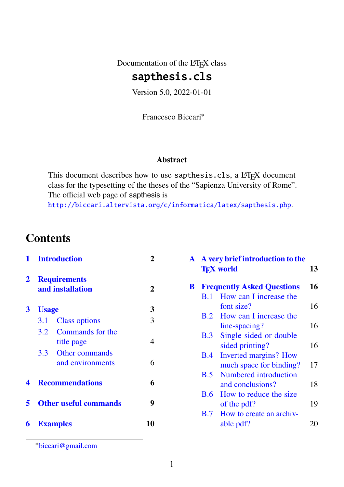Documentation of the L<sup>AT</sup>EX class

## sapthesis.cls

Version 5.0, 2022-01-01

Francesco Biccari∗

#### **Abstract**

This document describes how to use sapthesis.cls, a LATEX document class for the typesetting of the theses of the "Sapienza University of Rome". The official web page of sapthesis is <http://biccari.altervista.org/c/informatica/latex/sapthesis.php>.

## **Contents**

|   |                                         | 1 Introduction         |   |
|---|-----------------------------------------|------------------------|---|
| 2 | <b>Requirements</b><br>and installation | 2                      |   |
| 3 | <b>Usage</b>                            |                        | 3 |
|   | 3.1                                     | <b>Class options</b>   | 3 |
|   |                                         | 3.2 Commands for the   |   |
|   |                                         | title page             | 4 |
|   |                                         | 3.3 Other commands     |   |
|   |                                         | and environments       | 6 |
| 4 |                                         | <b>Recommendations</b> |   |
| 5 | <b>Other useful commands</b>            | 9                      |   |
|   |                                         | <b>6</b> Examples      |   |

|   | A A very brief introduction to the<br><b>TFX</b> world |                                     |    |
|---|--------------------------------------------------------|-------------------------------------|----|
| B | <b>Frequently Asked Questions</b>                      |                                     |    |
|   | B.1                                                    | How can I increase the              |    |
|   |                                                        | font size?                          | 16 |
|   |                                                        | <b>B.2</b> How can I increase the   |    |
|   |                                                        | line-spacing?                       | 16 |
|   | B.3                                                    | Single sided or double              |    |
|   |                                                        | sided printing?                     | 16 |
|   | B.4                                                    | <b>Inverted margins? How</b>        |    |
|   |                                                        | much space for binding?             | 17 |
|   | B.5                                                    | Numbered introduction               |    |
|   |                                                        | and conclusions?                    | 18 |
|   | <b>B.6</b>                                             | How to reduce the size              |    |
|   |                                                        | of the pdf?                         | 19 |
|   |                                                        | <b>B.7</b> How to create an archiv- |    |
|   |                                                        | able pdf?                           |    |
|   |                                                        |                                     |    |

<sup>∗</sup>[biccari@gmail.com](mailto:biccari@gmail.com)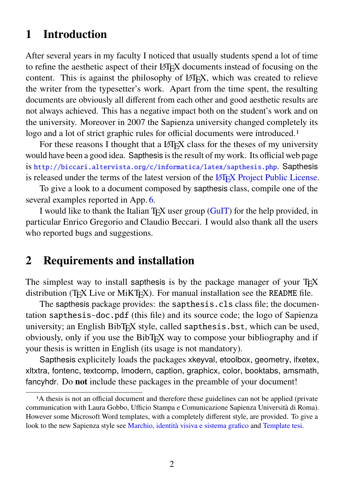## <span id="page-1-0"></span>**1 Introduction**

After several years in my faculty I noticed that usually students spend a lot of time to refine the aesthetic aspect of their LATEX documents instead of focusing on the content. This is against the philosophy of LATEX, which was created to relieve the writer from the typesetter's work. Apart from the time spent, the resulting documents are obviously all different from each other and good aesthetic results are not always achieved. This has a negative impact both on the student's work and on the university. Moreover in 2007 the Sapienza university changed completely its logo and a lot of strict graphic rules for official documents were introduced.<sup>1</sup>

For these reasons I thought that a LAT<sub>EX</sub> class for the theses of my university would have been a good idea. Sapthesis is the result of my work. Its official web page is <http://biccari.altervista.org/c/informatica/latex/sapthesis.php>. Sapthesis is released under the terms of the latest version of the LA[TEX Project Public License.](http://www.latex-project.org/lppl/)

To give a look to a document composed by sapthesis class, compile one of the several examples reported in App. [6.](#page-9-0)

I would like to thank the Italian T<sub>EX</sub> user group  $(GuIT)$  for the help provided, in particular Enrico Gregorio and Claudio Beccari. I would also thank all the users who reported bugs and suggestions.

## <span id="page-1-1"></span>**2 Requirements and installation**

The simplest way to install sapthesis is by the package manager of your  $T_{F}X$ distribution (TEX Live or MiKTEX). For manual installation see the README file.

The sapthesis package provides: the sapthesis.cls class file; the documentation sapthesis-doc.pdf (this file) and its source code; the logo of Sapienza university; an English BibTEX style, called sapthesis.bst, which can be used, obviously, only if you use the BibT<sub>E</sub>X way to compose your bibliography and if your thesis is written in English (its usage is not mandatory).

Sapthesis explicitely loads the packages xkeyval, etoolbox, geometry, ifxetex, xltxtra, fontenc, textcomp, lmodern, caption, graphicx, color, booktabs, amsmath, fancyhdr. Do **not** include these packages in the preamble of your document!

<sup>&</sup>lt;sup>1</sup>A thesis is not an official document and therefore these guidelines can not be applied (private communication with Laura Gobbo, Ufficio Stampa e Comunicazione Sapienza Università di Roma). However some Microsoft Word templates, with a completely different style, are provided. To give a look to the new Sapienza style see [Marchio, identità visiva e sistema grafico](https://www.uniroma1.it/it/pagina/marchio-identita-visiva-e-sistema-grafico) and [Template tesi.](https://www.uniroma1.it/it/pagina/impaginazione-della-tesi-e-logo)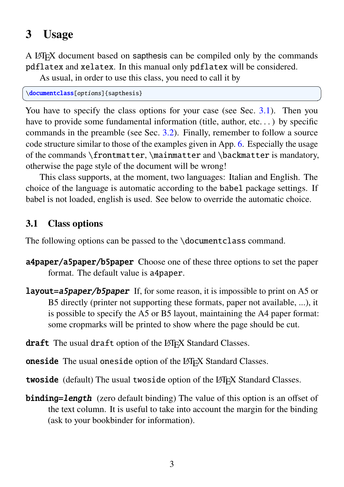## <span id="page-2-0"></span>**3 Usage**

A LATEX document based on sapthesis can be compiled only by the commands pdflatex and xelatex. In this manual only pdflatex will be considered.

As usual, in order to use this class, you need to call it by

```
\documentclass[options]{sapthesis}
```
You have to specify the class options for your case (see Sec. [3.1\)](#page-2-1). Then you have to provide some fundamental information (title, author, etc...) by specific commands in the preamble (see Sec. [3.2\)](#page-3-0). Finally, remember to follow a source code structure similar to those of the examples given in App. [6.](#page-9-0) Especially the usage of the commands \frontmatter, \mainmatter and \backmatter is mandatory, otherwise the page style of the document will be wrong!

 $\overline{\phantom{a}}$   $\overline{\phantom{a}}$   $\overline{\phantom{a}}$   $\overline{\phantom{a}}$   $\overline{\phantom{a}}$   $\overline{\phantom{a}}$   $\overline{\phantom{a}}$   $\overline{\phantom{a}}$   $\overline{\phantom{a}}$   $\overline{\phantom{a}}$   $\overline{\phantom{a}}$   $\overline{\phantom{a}}$   $\overline{\phantom{a}}$   $\overline{\phantom{a}}$   $\overline{\phantom{a}}$   $\overline{\phantom{a}}$   $\overline{\phantom{a}}$   $\overline{\phantom{a}}$   $\overline{\$ 

This class supports, at the moment, two languages: Italian and English. The choice of the language is automatic according to the babel package settings. If babel is not loaded, english is used. See below to override the automatic choice.

#### <span id="page-2-1"></span>**3.1 Class options**

The following options can be passed to the \documentclass command.

- a4paper/a5paper/b5paper Choose one of these three options to set the paper format. The default value is a4paper.
- **layout=a5paper/b5paper** If, for some reason, it is impossible to print on A5 or B5 directly (printer not supporting these formats, paper not available, ...), it is possible to specify the A5 or B5 layout, maintaining the A4 paper format: some cropmarks will be printed to show where the page should be cut.
- draft The usual draft option of the LAT<sub>EX</sub> Standard Classes.
- oneside The usual oneside option of the LAT<sub>EX</sub> Standard Classes.
- twoside (default) The usual twoside option of the LAT<sub>EX</sub> Standard Classes.
- **binding=length** (zero default binding) The value of this option is an offset of the text column. It is useful to take into account the margin for the binding (ask to your bookbinder for information).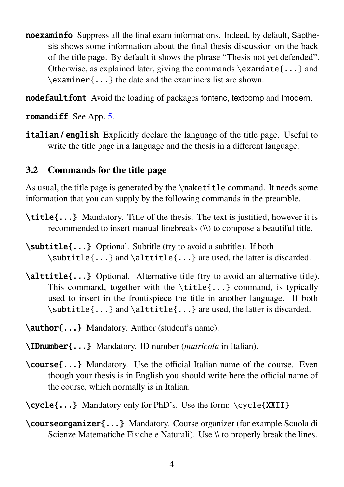- noexaminfo Suppress all the final exam informations. Indeed, by default, Sapthesis shows some information about the final thesis discussion on the back of the title page. By default it shows the phrase "Thesis not yet defended". Otherwise, as explained later, giving the commands \examdate{...} and \examiner{...} the date and the examiners list are shown.
- nodefaultfont Avoid the loading of packages fontenc, textcomp and Imodern.

romandiff See App. [5.](#page-8-0)

**italian** / **english** Explicitly declare the language of the title page. Useful to write the title page in a language and the thesis in a different language.

#### <span id="page-3-0"></span>**3.2 Commands for the title page**

As usual, the title page is generated by the \maketitle command. It needs some information that you can supply by the following commands in the preamble.

- \title{...} Mandatory. Title of the thesis. The text is justified, however it is recommended to insert manual linebreaks (\\) to compose a beautiful title.
- \subtitle{...} Optional. Subtitle (try to avoid a subtitle). If both \subtitle{...} and \alttitle{...} are used, the latter is discarded.
- \alttitle{...} Optional. Alternative title (try to avoid an alternative title). This command, together with the \title{...} command, is typically used to insert in the frontispiece the title in another language. If both \subtitle{...} and \alttitle{...} are used, the latter is discarded.
- \author{...} Mandatory. Author (student's name).
- \IDnumber{...} Mandatory. ID number (*matricola* in Italian).
- \course{...} Mandatory. Use the official Italian name of the course. Even though your thesis is in English you should write here the official name of the course, which normally is in Italian.
- \cycle{...} Mandatory only for PhD's. Use the form: \cycle{XXII}
- \courseorganizer{...} Mandatory. Course organizer (for example Scuola di Scienze Matematiche Fisiche e Naturali). Use  $\aleph$  to properly break the lines.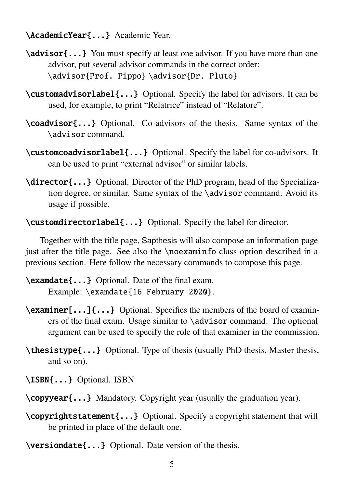\AcademicYear{...} Academic Year.

- \advisor{...} You must specify at least one advisor. If you have more than one advisor, put several advisor commands in the correct order: \advisor{Prof. Pippo} \advisor{Dr. Pluto}
- \customadvisorlabel{...} Optional. Specify the label for advisors. It can be used, for example, to print "Relatrice" instead of "Relatore".
- \coadvisor{...} Optional. Co-advisors of the thesis. Same syntax of the \advisor command.
- \customcoadvisorlabel{...} Optional. Specify the label for co-advisors. It can be used to print "external advisor" or similar labels.
- \director{...} Optional. Director of the PhD program, head of the Specialization degree, or similar. Same syntax of the \advisor command. Avoid its usage if possible.

\customdirectorlabel{...} Optional. Specify the label for director.

Together with the title page, Sapthesis will also compose an information page just after the title page. See also the \noexaminfo class option described in a previous section. Here follow the necessary commands to compose this page.

\examdate{...} Optional. Date of the final exam. Example: \examdate{16 February 2020}.

- \examiner[...]{...} Optional. Specifies the members of the board of examiners of the final exam. Usage similar to \advisor command. The optional argument can be used to specify the role of that examiner in the commission.
- \thesistype{...} Optional. Type of thesis (usually PhD thesis, Master thesis, and so on).
- \ISBN{...} Optional. ISBN
- \copyyear{...} Mandatory. Copyright year (usually the graduation year).
- \copyrightstatement{...} Optional. Specify a copyright statement that will be printed in place of the default one.
- \versiondate{...} Optional. Date version of the thesis.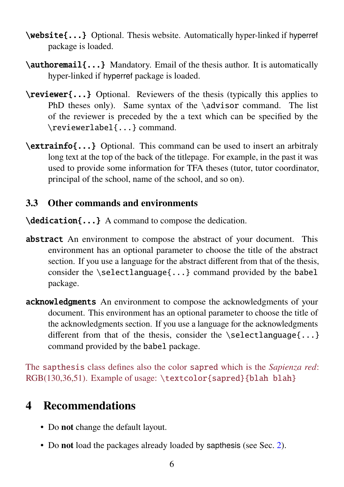- \website{...} Optional. Thesis website. Automatically hyper-linked if hyperref package is loaded.
- \authoremail{...} Mandatory. Email of the thesis author. It is automatically hyper-linked if hyperref package is loaded.
- \reviewer{...} Optional. Reviewers of the thesis (typically this applies to PhD theses only). Same syntax of the \advisor command. The list of the reviewer is preceded by the a text which can be specified by the \reviewerlabel{...} command.
- \extrainfo{...} Optional. This command can be used to insert an arbitraly long text at the top of the back of the titlepage. For example, in the past it was used to provide some information for TFA theses (tutor, tutor coordinator, principal of the school, name of the school, and so on).

### <span id="page-5-0"></span>**3.3 Other commands and environments**

\dedication{...} A command to compose the dedication.

- abstract An environment to compose the abstract of your document. This environment has an optional parameter to choose the title of the abstract section. If you use a language for the abstract different from that of the thesis, consider the \selectlanguage{...} command provided by the babel package.
- acknowledgments An environment to compose the acknowledgments of your document. This environment has an optional parameter to choose the title of the acknowledgments section. If you use a language for the acknowledgments different from that of the thesis, consider the  $\setminus$  selectlanguage{...} command provided by the babel package.

The sapthesis class defines also the color sapred which is the *Sapienza red*: RGB(130,36,51). Example of usage: \textcolor{sapred}{blah blah}

# <span id="page-5-1"></span>**4 Recommendations**

- Do **not** change the default layout.
- Do **not** load the packages already loaded by sapthesis (see Sec. [2\)](#page-1-1).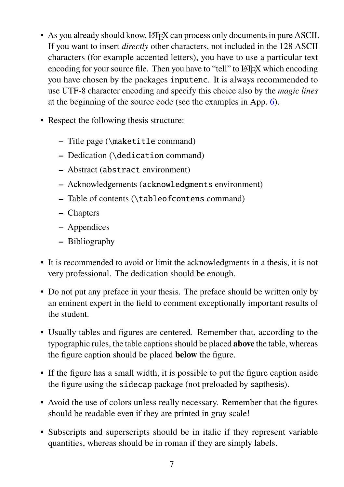- As you already should know, LATEX can process only documents in pure ASCII. If you want to insert *directly* other characters, not included in the 128 ASCII characters (for example accented letters), you have to use a particular text encoding for your source file. Then you have to "tell" to LATEX which encoding you have chosen by the packages inputenc. It is always recommended to use UTF-8 character encoding and specify this choice also by the *magic lines* at the beginning of the source code (see the examples in App. [6\)](#page-9-0).
- Respect the following thesis structure:
	- **–** Title page (\maketitle command)
	- **–** Dedication (\dedication command)
	- **–** Abstract (abstract environment)
	- **–** Acknowledgements (acknowledgments environment)
	- **–** Table of contents (\tableofcontens command)
	- **–** Chapters
	- **–** Appendices
	- **–** Bibliography
- It is recommended to avoid or limit the acknowledgments in a thesis, it is not very professional. The dedication should be enough.
- Do not put any preface in your thesis. The preface should be written only by an eminent expert in the field to comment exceptionally important results of the student.
- Usually tables and figures are centered. Remember that, according to the typographic rules, the table captions should be placed **above** the table, whereas the figure caption should be placed **below** the figure.
- If the figure has a small width, it is possible to put the figure caption aside the figure using the sidecap package (not preloaded by sapthesis).
- Avoid the use of colors unless really necessary. Remember that the figures should be readable even if they are printed in gray scale!
- Subscripts and superscripts should be in italic if they represent variable quantities, whereas should be in roman if they are simply labels.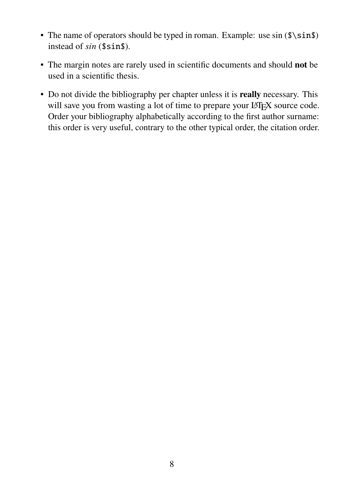- The name of operators should be typed in roman. Example: use  $sin($  $\sin$ instead of  $sin($ \$sin\$).
- The margin notes are rarely used in scientific documents and should **not** be used in a scientific thesis.
- Do not divide the bibliography per chapter unless it is **really** necessary. This will save you from wasting a lot of time to prepare your LAT<sub>EX</sub> source code. Order your bibliography alphabetically according to the first author surname: this order is very useful, contrary to the other typical order, the citation order.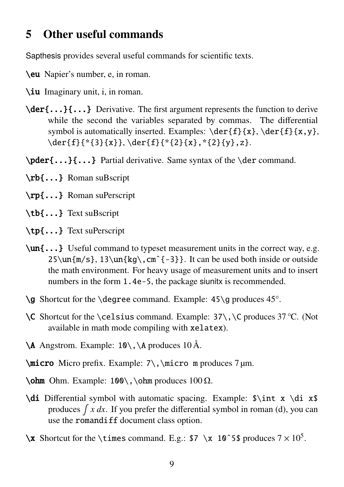### <span id="page-8-0"></span>**5 Other useful commands**

Sapthesis provides several useful commands for scientific texts.

- \eu Napier's number, e, in roman.
- \iu Imaginary unit, i, in roman.
- $\{der{\ldots}\}\$  Derivative. The first argument represents the function to derive while the second the variables separated by commas. The differential symbol is automatically inserted. Examples:  $\der{f}{x}, \der{f}{x,y}$ , \der{f}{\*{3}{x}}, \der{f}{\*{2}{x},\*{2}{y},z}.
- \pder{...}{...} Partial derivative. Same syntax of the \der command.
- \rb{...} Roman suBscript
- \rp{...} Roman suPerscript
- \tb{...} Text suBscript
- \tp{...} Text suPerscript
- \un{...} Useful command to typeset measurement units in the correct way, e.g.  $25\un{m/s}, 13\un{kg}, cm<sup>2</sup> - 3}$ . It can be used both inside or outside the math environment. For heavy usage of measurement units and to insert numbers in the form 1.4e-5, the package siunitx is recommended.
- $\alpha$  Shortcut for the \degree command. Example: 45\g produces 45°.
- \C Shortcut for the \celsius command. Example: 37\,\C produces 37 °C. (Not available in math mode compiling with xelatex).
- \A Angstrom. Example: 10\,\A produces 10 Å.
- $\mathrm{arco}$  Micro prefix. Example:  $7\,\mathrm{arco}$  m produces 7 µm.
- $\lozenge$  Ohm. Example: 100\, \ohm produces 100  $\Omega$ .
- $\ddot{\text{d}}$  Differential symbol with automatic spacing. Example:  $\int x \, d\text{i} x$ produces  $\int x dx$ . If you prefer the differential symbol in roman (d), you can use the romandiff document class option.
- $\x$  Shortcut for the \times command. E.g.: \$7 \x 10^5\$ produces  $7 \times 10^5$ .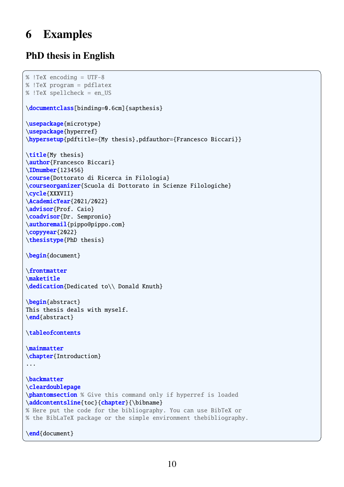# <span id="page-9-0"></span>**6 Examples**

### **PhD thesis in English**

```
\overline{a} \overline{a} \overline{a} \overline{a} \overline{a} \overline{a} \overline{a} \overline{a} \overline{a} \overline{a} \overline{a} \overline{a} \overline{a} \overline{a} \overline{a} \overline{a} \overline{a} \overline{a} \overline{a} \overline{a} \overline{a} \overline{a} \overline{a} \overline{a} \overline{% !TeX encoding = UTF-8
% !TeX program = pdflatex
% !TeX spellcheck = en_US
\documentclass[binding=0.6cm]{sapthesis}
\usepackage{microtype}
\usepackage{hyperref}
\hypersetup{pdftitle={My thesis},pdfauthor={Francesco Biccari}}
\title{My thesis}
\author{Francesco Biccari}
\IDnumber{123456}
\course{Dottorato di Ricerca in Filologia}
\courseorganizer{Scuola di Dottorato in Scienze Filologiche}
\cycle{XXXVII}
\AcademicYear{2021/2022}
\advisor{Prof. Caio}
\coadvisor{Dr. Sempronio}
\authoremail{pippo@pippo.com}
\copyyear{2022}
\thesistype{PhD thesis}
\begin{document}
\frontmatter
\maketitle
\dedication{Dedicated to\\ Donald Knuth}
\begin{abstract}
This thesis deals with myself.
\end{abstract}
\tableofcontents
\mainmatter
\chapter{Introduction}
...
\backmatter
\cleardoublepage
\phantomsection % Give this command only if hyperref is loaded
\addcontentsline{toc}{chapter}{\bibname}
% Here put the code for the bibliography. You can use BibTeX or
% the BibLaTeX package or the simple environment thebibliography.
\end{document}
```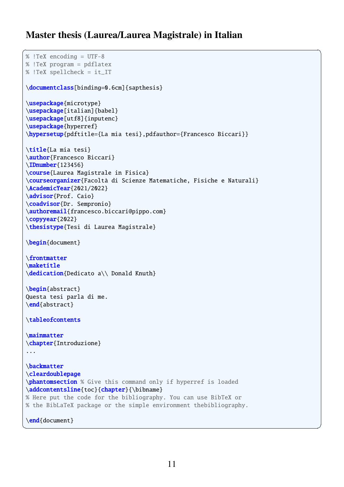#### **Master thesis (Laurea/Laurea Magistrale) in Italian**

 $\overline{a}$   $\overline{a}$   $\overline{a}$   $\overline{a}$   $\overline{a}$   $\overline{a}$   $\overline{a}$   $\overline{a}$   $\overline{a}$   $\overline{a}$   $\overline{a}$   $\overline{a}$   $\overline{a}$   $\overline{a}$   $\overline{a}$   $\overline{a}$   $\overline{a}$   $\overline{a}$   $\overline{a}$   $\overline{a}$   $\overline{a}$   $\overline{a}$   $\overline{a}$   $\overline{a}$   $\overline{$ 

```
% !TeX encoding = UTF-8
% !TeX program = pdflatex
% !TeX spellcheck = it_IT
\documentclass[binding=0.6cm]{sapthesis}
\usepackage{microtype}
\usepackage[italian]{babel}
\usepackage[utf8]{inputenc}
\usepackage{hyperref}
\hypersetup{pdftitle={La mia tesi},pdfauthor={Francesco Biccari}}
\title{La mia tesi}
\author{Francesco Biccari}
\IDnumber{123456}
\course{Laurea Magistrale in Fisica}
\courseorganizer{Facoltà di Scienze Matematiche, Fisiche e Naturali}
\AcademicYear{2021/2022}
\advisor{Prof. Caio}
\coadvisor{Dr. Sempronio}
\authoremail{francesco.biccari@pippo.com}
\copyyear{2022}
\thesistype{Tesi di Laurea Magistrale}
\begin{document}
\frontmatter
\maketitle
\dedication{Dedicato a\\ Donald Knuth}
\begin{abstract}
Questa tesi parla di me.
\end{abstract}
\tableofcontents
\mainmatter
\chapter{Introduzione}
...
\backmatter
\cleardoublepage
\phantomsection % Give this command only if hyperref is loaded
\addcontentsline{toc}{chapter}{\bibname}
% Here put the code for the bibliography. You can use BibTeX or
% the BibLaTeX package or the simple environment thebibliography.
\end{document}
```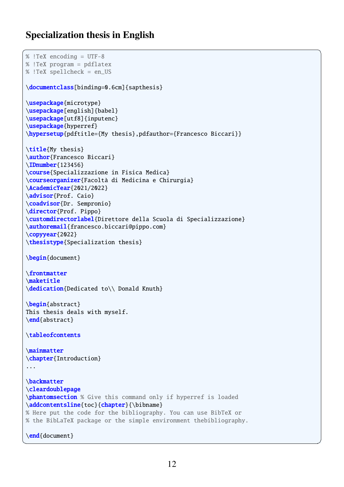#### **Specialization thesis in English**

```
\overline{a} \overline{a} \overline{a} \overline{a} \overline{a} \overline{a} \overline{a} \overline{a} \overline{a} \overline{a} \overline{a} \overline{a} \overline{a} \overline{a} \overline{a} \overline{a} \overline{a} \overline{a} \overline{a} \overline{a} \overline{a} \overline{a} \overline{a} \overline{a} \overline{% !TeX encoding = UTF-8
% !TeX program = pdflatex
% !TeX spellcheck = en_US
\documentclass[binding=0.6cm]{sapthesis}
\usepackage{microtype}
\usepackage[english]{babel}
\usepackage[utf8]{inputenc}
\usepackage{hyperref}
\hypersetup{pdftitle={My thesis},pdfauthor={Francesco Biccari}}
\title{My thesis}
\author{Francesco Biccari}
\IDnumber{123456}
\course{Specializzazione in Fisica Medica}
\courseorganizer{Facoltà di Medicina e Chirurgia}
\AcademicYear{2021/2022}
\advisor{Prof. Caio}
\coadvisor{Dr. Sempronio}
\director{Prof. Pippo}
\customdirectorlabel{Direttore della Scuola di Specializzazione}
\authoremail{francesco.biccari@pippo.com}
\copyyear{2022}
\thesistype{Specialization thesis}
\begin{document}
\frontmatter
\maketitle
\dedication{Dedicated to\\ Donald Knuth}
\begin{abstract}
This thesis deals with myself.
\end{abstract}
\tableofcontents
\mainmatter
\chapter{Introduction}
 ...
\backmatter
\cleardoublepage
\phantomsection % Give this command only if hyperref is loaded
\addcontentsline{toc}{chapter}{\bibname}
% Here put the code for the bibliography. You can use BibTeX or
% the BibLaTeX package or the simple environment thebibliography.
 \end{document}
```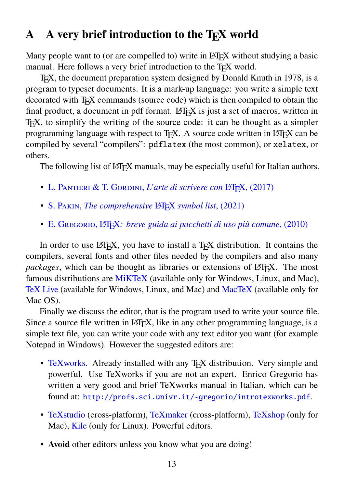## <span id="page-12-0"></span>A A very brief introduction to the T<sub>E</sub>X world

Many people want to (or are compelled to) write in LATEX without studying a basic manual. Here follows a very brief introduction to the TEX world.

TEX, the document preparation system designed by Donald Knuth in 1978, is a program to typeset documents. It is a mark-up language: you write a simple text decorated with TEX commands (source code) which is then compiled to obtain the final product, a document in pdf format.  $L^2F$ <sub>EX</sub> is just a set of macros, written in TEX, to simplify the writing of the source code: it can be thought as a simpler programming language with respect to T<sub>EX</sub>. A source code written in LATEX can be compiled by several "compilers": pdflatex (the most common), or xelatex, or others.

The following list of LATEX manuals, may be especially useful for Italian authors.

- L. Pantieri & T. Gordini, *[L'arte di scrivere con](http://www.lorenzopantieri.net/LaTeX_files/ArteLaTeX.pdf)* LATEX, (2017)
- S. PAKIN, *[The comprehensive](http://mirror.ctan.org/info/symbols/comprehensive/symbols-a4.pdf)* LAT<sub>E</sub>X *symbol list*, (2021)
- E. Gregorio, LATEX*[: breve guida ai pacchetti di uso più comune](http://profs.sci.univr.it/~gregorio/breveguida.pdf)*, (2010)

In order to use  $\text{L} \times \text{L} \times \text{L}$ , you have to install a T<sub>E</sub>X distribution. It contains the compilers, several fonts and other files needed by the compilers and also many *packages*, which can be thought as libraries or extensions of LATEX. The most famous distributions are [MiKTeX](http://miktex.org/) (available only for Windows, Linux, and Mac), [TeX Live](http://www.tug.org/texlive/) (available for Windows, Linux, and Mac) and [MacTeX](https://tug.org/mactex/) (available only for Mac OS).

Finally we discuss the editor, that is the program used to write your source file. Since a source file written in LATEX, like in any other programming language, is a simple text file, you can write your code with any text editor you want (for example Notepad in Windows). However the suggested editors are:

- [TeXworks.](http://tug.org/texworks/) Already installed with any T<sub>F</sub>X distribution. Very simple and powerful. Use TeXworks if you are not an expert. Enrico Gregorio has written a very good and brief TeXworks manual in Italian, which can be found at: <http://profs.sci.univr.it/~gregorio/introtexworks.pdf>.
- [TeXstudio](http://texstudio.sourceforge.net/) (cross-platform), [TeXmaker](http://www.xm1math.net/texmaker/) (cross-platform), [TeXshop](http://pages.uoregon.edu/koch/texshop/) (only for Mac), [Kile](http://kile.sourceforge.net/) (only for Linux). Powerful editors.
- **Avoid** other editors unless you know what you are doing!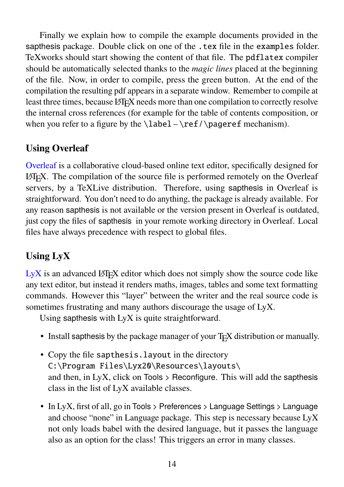Finally we explain how to compile the example documents provided in the sapthesis package. Double click on one of the .tex file in the examples folder. TeXworks should start showing the content of that file. The pdflatex compiler should be automatically selected thanks to the *magic lines* placed at the beginning of the file. Now, in order to compile, press the green button. At the end of the compilation the resulting pdf appears in a separate window. Remember to compile at least three times, because LATEX needs more than one compilation to correctly resolve the internal cross references (for example for the table of contents composition, or when you refer to a figure by the  $\label{red} \label{red}$   $\text{degree}$  mechanism).

### **Using Overleaf**

[Overleaf](https://www.overleaf.com/) is a collaborative cloud-based online text editor, specifically designed for LAT<sub>EX</sub>. The compilation of the source file is performed remotely on the Overleaf servers, by a TeXLive distribution. Therefore, using sapthesis in Overleaf is straightforward. You don't need to do anything, the package is already available. For any reason sapthesis is not available or the version present in Overleaf is outdated, just copy the files of sapthesis in your remote working directory in Overleaf. Local files have always precedence with respect to global files.

## **Using LyX**

 $L_yX$  is an advanced LATEX editor which does not simply show the source code like any text editor, but instead it renders maths, images, tables and some text formatting commands. However this "layer" between the writer and the real source code is sometimes frustrating and many authors discourage the usage of LyX.

Using sapthesis with LyX is quite straightforward.

- Install sapthesis by the package manager of your T<sub>E</sub>X distribution or manually.
- Copy the file sapthesis.layout in the directory C:\Program Files\Lyx20\Resources\layouts\ and then, in LyX, click on Tools  $>$  Reconfigure. This will add the sapthesis class in the list of LyX available classes.
- In LyX, first of all, go in Tools > Preferences > Language Settings > Language and choose "none" in Language package. This step is necessary because LyX not only loads babel with the desired language, but it passes the language also as an option for the class! This triggers an error in many classes.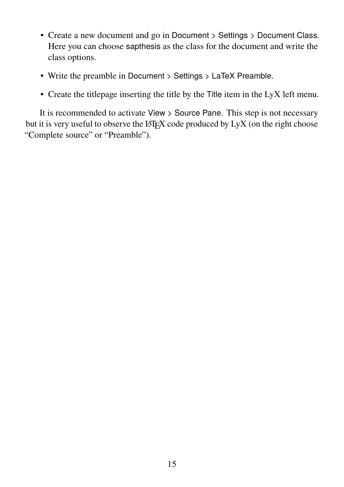- Create a new document and go in Document > Settings > Document Class. Here you can choose sapthesis as the class for the document and write the class options.
- Write the preamble in Document > Settings > LaTeX Preamble.
- Create the titlepage inserting the title by the Title item in the LyX left menu.

It is recommended to activate View > Source Pane. This step is not necessary but it is very useful to observe the LATEX code produced by LyX (on the right choose "Complete source" or "Preamble").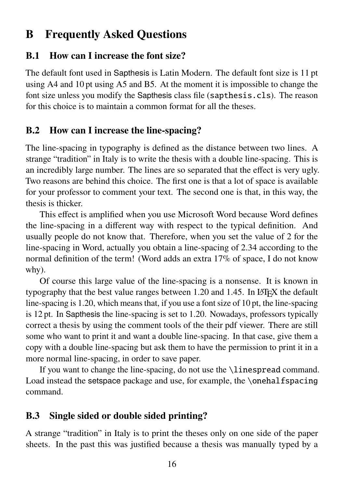## <span id="page-15-0"></span>**B Frequently Asked Questions**

#### <span id="page-15-1"></span>**B.1 How can I increase the font size?**

The default font used in Sapthesis is Latin Modern. The default font size is 11 pt using A4 and 10 pt using A5 and B5. At the moment it is impossible to change the font size unless you modify the Sapthesis class file (sapthesis.cls). The reason for this choice is to maintain a common format for all the theses.

#### <span id="page-15-2"></span>**B.2 How can I increase the line-spacing?**

The line-spacing in typography is defined as the distance between two lines. A strange "tradition" in Italy is to write the thesis with a double line-spacing. This is an incredibly large number. The lines are so separated that the effect is very ugly. Two reasons are behind this choice. The first one is that a lot of space is available for your professor to comment your text. The second one is that, in this way, the thesis is thicker.

This effect is amplified when you use Microsoft Word because Word defines the line-spacing in a different way with respect to the typical definition. And usually people do not know that. Therefore, when you set the value of 2 for the line-spacing in Word, actually you obtain a line-spacing of 2.34 according to the normal definition of the term! (Word adds an extra 17% of space, I do not know why).

Of course this large value of the line-spacing is a nonsense. It is known in typography that the best value ranges between  $1.20$  and  $1.45$ . In LAT<sub>EX</sub> the default line-spacing is 1.20, which means that, if you use a font size of 10 pt, the line-spacing is 12 pt. In Sapthesis the line-spacing is set to 1.20. Nowadays, professors typically correct a thesis by using the comment tools of the their pdf viewer. There are still some who want to print it and want a double line-spacing. In that case, give them a copy with a double line-spacing but ask them to have the permission to print it in a more normal line-spacing, in order to save paper.

If you want to change the line-spacing, do not use the \linespread command. Load instead the setspace package and use, for example, the \onehalfspacing command.

#### <span id="page-15-3"></span>**B.3 Single sided or double sided printing?**

A strange "tradition" in Italy is to print the theses only on one side of the paper sheets. In the past this was justified because a thesis was manually typed by a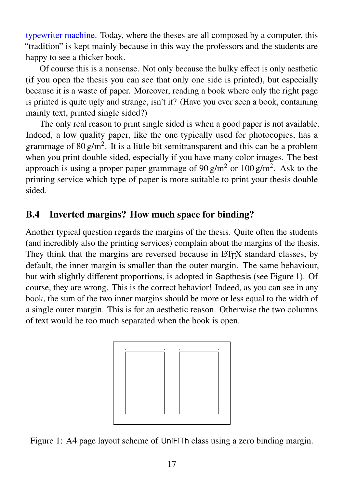[typewriter machine.](https://en.wikipedia.org/wiki/Typewriter) Today, where the theses are all composed by a computer, this "tradition" is kept mainly because in this way the professors and the students are happy to see a thicker book.

Of course this is a nonsense. Not only because the bulky effect is only aesthetic (if you open the thesis you can see that only one side is printed), but especially because it is a waste of paper. Moreover, reading a book where only the right page is printed is quite ugly and strange, isn't it? (Have you ever seen a book, containing mainly text, printed single sided?)

The only real reason to print single sided is when a good paper is not available. Indeed, a low quality paper, like the one typically used for photocopies, has a grammage of  $80 \text{ g/m}^2$ . It is a little bit semitransparent and this can be a problem when you print double sided, especially if you have many color images. The best approach is using a proper paper grammage of 90 g/m<sup>2</sup> or 100 g/m<sup>2</sup>. Ask to the printing service which type of paper is more suitable to print your thesis double sided.

### <span id="page-16-0"></span>**B.4 Inverted margins? How much space for binding?**

Another typical question regards the margins of the thesis. Quite often the students (and incredibly also the printing services) complain about the margins of the thesis. They think that the margins are reversed because in LAT<sub>EX</sub> standard classes, by default, the inner margin is smaller than the outer margin. The same behaviour, but with slightly different proportions, is adopted in Sapthesis (see Figure [1\)](#page-16-1). Of course, they are wrong. This is the correct behavior! Indeed, as you can see in any book, the sum of the two inner margins should be more or less equal to the width of a single outer margin. This is for an aesthetic reason. Otherwise the two columns of text would be too much separated when the book is open.

<span id="page-16-1"></span>

Figure 1: A4 page layout scheme of UniFiTh class using a zero binding margin.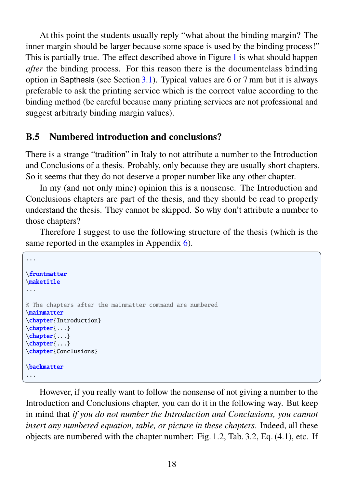At this point the students usually reply "what about the binding margin? The inner margin should be larger because some space is used by the binding process!" This is partially true. The effect described above in Figure [1](#page-16-1) is what should happen *after* the binding process. For this reason there is the documentclass binding option in Sapthesis (see Section  $3.1$ ). Typical values are 6 or 7 mm but it is always preferable to ask the printing service which is the correct value according to the binding method (be careful because many printing services are not professional and suggest arbitrarly binding margin values).

#### <span id="page-17-0"></span>**B.5 Numbered introduction and conclusions?**

There is a strange "tradition" in Italy to not attribute a number to the Introduction and Conclusions of a thesis. Probably, only because they are usually short chapters. So it seems that they do not deserve a proper number like any other chapter.

In my (and not only mine) opinion this is a nonsense. The Introduction and Conclusions chapters are part of the thesis, and they should be read to properly understand the thesis. They cannot be skipped. So why don't attribute a number to those chapters?

Therefore I suggest to use the following structure of the thesis (which is the same reported in the examples in Appendix [6\)](#page-9-0).

 $\overline{a}$   $\overline{a}$   $\overline{a}$   $\overline{a}$   $\overline{a}$   $\overline{a}$   $\overline{a}$   $\overline{a}$   $\overline{a}$   $\overline{a}$   $\overline{a}$   $\overline{a}$   $\overline{a}$   $\overline{a}$   $\overline{a}$   $\overline{a}$   $\overline{a}$   $\overline{a}$   $\overline{a}$   $\overline{a}$   $\overline{a}$   $\overline{a}$   $\overline{a}$   $\overline{a}$   $\overline{$ 

```
...
\frontmatter
\maketitle
...
% The chapters after the mainmatter command are numbered
\mainmatter
\chapter{Introduction}
\chapter{...}
\chapter{...}
\chapter{...}
\chapter{Conclusions}
\backmatter
...
✝ ✆
```
However, if you really want to follow the nonsense of not giving a number to the Introduction and Conclusions chapter, you can do it in the following way. But keep in mind that *if you do not number the Introduction and Conclusions, you cannot insert any numbered equation, table, or picture in these chapters*. Indeed, all these objects are numbered with the chapter number: Fig. 1.2, Tab. 3.2, Eq. (4.1), etc. If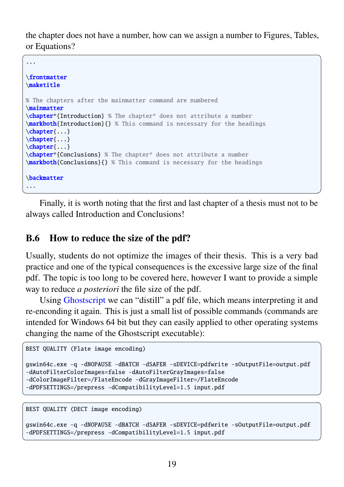the chapter does not have a number, how can we assign a number to Figures, Tables, or Equations?

 $\sqrt{1 - \frac{1}{2}}$ 

```
...
\frontmatter
\maketitle
% The chapters after the mainmatter command are numbered
\mainmatter
\chapter*{Introduction} % The chapter* does not attribute a number
\markboth{Introduction}{} % This command is necessary for the headings
\chapter{...}
\chapter{...}
\chapter{...}
\chapter*{Conclusions} % The chapter* does not attribute a number
\markboth{Conclusions}{} % This command is necessary for the headings
\backmatter
...
```
Finally, it is worth noting that the first and last chapter of a thesis must not to be always called Introduction and Conclusions!

 $\overline{\phantom{a}}$   $\overline{\phantom{a}}$   $\overline{\phantom{a}}$   $\overline{\phantom{a}}$   $\overline{\phantom{a}}$   $\overline{\phantom{a}}$   $\overline{\phantom{a}}$   $\overline{\phantom{a}}$   $\overline{\phantom{a}}$   $\overline{\phantom{a}}$   $\overline{\phantom{a}}$   $\overline{\phantom{a}}$   $\overline{\phantom{a}}$   $\overline{\phantom{a}}$   $\overline{\phantom{a}}$   $\overline{\phantom{a}}$   $\overline{\phantom{a}}$   $\overline{\phantom{a}}$   $\overline{\$ 

#### <span id="page-18-0"></span>**B.6 How to reduce the size of the pdf?**

Usually, students do not optimize the images of their thesis. This is a very bad practice and one of the typical consequences is the excessive large size of the final pdf. The topic is too long to be covered here, however I want to provide a simple way to reduce *a posteriori* the file size of the pdf.

Using [Ghostscript](https://www.ghostscript.com/) we can "distill" a pdf file, which means interpreting it and re-enconding it again. This is just a small list of possible commands (commands are intended for Windows 64 bit but they can easily applied to other operating systems changing the name of the Ghostscript executable):

```
✞ ☎
BEST QUALITY (Flate image encoding)
```

```
gswin64c.exe -q -dNOPAUSE -dBATCH -dSAFER -sDEVICE=pdfwrite -sOutputFile=output.pdf
-dAutoFilterColorImages=false -dAutoFilterGrayImages=false
-dColorImageFilter=/FlateEncode -dGrayImageFilter=/FlateEncode
-dPDFSETTINGS=/prepress -dCompatibilityLevel=1.5 input.pdf
✝ ✆
```
✞ ☎ BEST QUALITY (DECT image encoding)

```
gswin64c.exe -q -dNOPAUSE -dBATCH -dSAFER -sDEVICE=pdfwrite -sOutputFile=output.pdf
-dPDFSETTINGS=/prepress -dCompatibilityLevel=1.5 input.pdf
```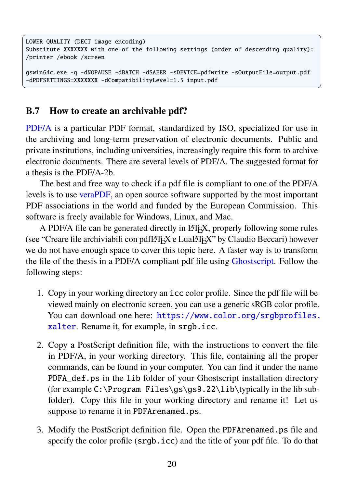```
LOWER QUALITY (DECT image encoding)
Substitute XXXXXXX with one of the following settings (order of descending quality):
/printer /ebook /screen
gswin64c.exe -q -dNOPAUSE -dBATCH -dSAFER -sDEVICE=pdfwrite -sOutputFile=output.pdf
-dPDFSETTINGS=XXXXXXX -dCompatibilityLevel=1.5 input.pdf
```
 $\qquad \qquad \qquad$ 

#### <span id="page-19-0"></span>**B.7 How to create an archivable pdf?**

[PDF/A](https://en.wikipedia.org/wiki/PDF/A) is a particular PDF format, standardized by ISO, specialized for use in the archiving and long-term preservation of electronic documents. Public and private institutions, including universities, increasingly require this form to archive electronic documents. There are several levels of PDF/A. The suggested format for a thesis is the PDF/A-2b.

The best and free way to check if a pdf file is compliant to one of the PDF/A levels is to use [veraPDF,](https://verapdf.org/) an open source software supported by the most important PDF associations in the world and funded by the European Commission. This software is freely available for Windows, Linux, and Mac.

A PDF/A file can be generated directly in LATEX, properly following some rules (see "Creare file archiviabili con pdfLATEX e LuaLATEX" by Claudio Beccari) however we do not have enough space to cover this topic here. A faster way is to transform the file of the thesis in a PDF/A compliant pdf file using [Ghostscript.](https://www.ghostscript.com/) Follow the following steps:

- 1. Copy in your working directory an icc color profile. Since the pdf file will be viewed mainly on electronic screen, you can use a generic sRGB color profile. You can download one here: [https://www.color.org/srgbprofiles.](https://www.color.org/srgbprofiles.xalter) [xalter](https://www.color.org/srgbprofiles.xalter). Rename it, for example, in srgb.icc.
- 2. Copy a PostScript definition file, with the instructions to convert the file in PDF/A, in your working directory. This file, containing all the proper commands, can be found in your computer. You can find it under the name PDFA\_def.ps in the lib folder of your Ghostscript installation directory (for example C:\Program Files\gs\gs9.22\lib\typically in the lib subfolder). Copy this file in your working directory and rename it! Let us suppose to rename it in PDFArenamed.ps.
- 3. Modify the PostScript definition file. Open the PDFArenamed.ps file and specify the color profile (srgb.icc) and the title of your pdf file. To do that